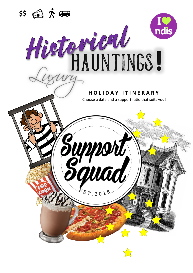